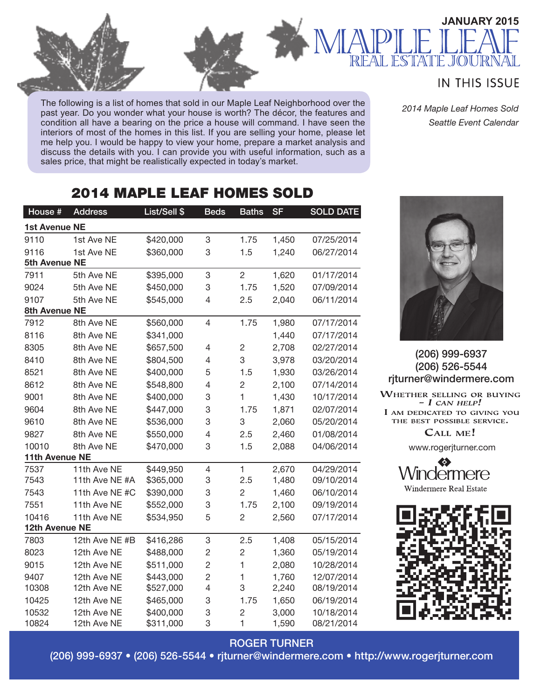The following is a list of homes that sold in our Maple Leaf Neighborhood over the past year. Do you wonder what your house is worth? The décor, the features and condition all have a bearing on the price a house will command. I have seen the interiors of most of the homes in this list. If you are selling your home, please let me help you. I would be happy to view your home, prepare a market analysis and discuss the details with you. I can provide you with useful information, such as a sales price, that might be realistically expected in today's market.

## 2014 MAPLE LEAF HOMES SOLD

| House #        | <b>Address</b> | List/Sell \$ | <b>Beds</b>    | <b>Baths</b>   | <b>SF</b> | <b>SOLD DATE</b> |
|----------------|----------------|--------------|----------------|----------------|-----------|------------------|
| 1st Avenue NE  |                |              |                |                |           |                  |
| 9110           | 1st Ave NE     | \$420,000    | 3              | 1.75           | 1,450     | 07/25/2014       |
| 9116           | 1st Ave NE     | \$360,000    | 3              | 1.5            | 1,240     | 06/27/2014       |
| 5th Avenue NE  |                |              |                |                |           |                  |
| 7911           | 5th Ave NE     | \$395,000    | 3              | $\overline{2}$ | 1,620     | 01/17/2014       |
| 9024           | 5th Ave NE     | \$450,000    | 3              | 1.75           | 1,520     | 07/09/2014       |
| 9107           | 5th Ave NE     | \$545,000    | 4              | 2.5            | 2,040     | 06/11/2014       |
| 8th Avenue NE  |                |              |                |                |           |                  |
| 7912           | 8th Ave NE     | \$560,000    | $\overline{4}$ | 1.75           | 1,980     | 07/17/2014       |
| 8116           | 8th Ave NE     | \$341,000    |                |                | 1,440     | 07/17/2014       |
| 8305           | 8th Ave NE     | \$657,500    | 4              | $\overline{c}$ | 2,708     | 02/27/2014       |
| 8410           | 8th Ave NE     | \$804,500    | 4              | 3              | 3,978     | 03/20/2014       |
| 8521           | 8th Ave NE     | \$400,000    | 5              | 1.5            | 1,930     | 03/26/2014       |
| 8612           | 8th Ave NE     | \$548,800    | 4              | $\overline{2}$ | 2,100     | 07/14/2014       |
| 9001           | 8th Ave NE     | \$400,000    | 3              | $\mathbf{1}$   | 1,430     | 10/17/2014       |
| 9604           | 8th Ave NE     | \$447,000    | 3              | 1.75           | 1,871     | 02/07/2014       |
| 9610           | 8th Ave NE     | \$536,000    | 3              | 3              | 2,060     | 05/20/2014       |
| 9827           | 8th Ave NE     | \$550,000    | 4              | 2.5            | 2,460     | 01/08/2014       |
| 10010          | 8th Ave NE     | \$470,000    | 3              | 1.5            | 2,088     | 04/06/2014       |
| 11th Avenue NE |                |              |                |                |           |                  |
| 7537           | 11th Ave NE    | \$449,950    | $\overline{4}$ | 1              | 2,670     | 04/29/2014       |
| 7543           | 11th Ave NE #A | \$365,000    | 3              | 2.5            | 1,480     | 09/10/2014       |
| 7543           | 11th Ave NE #C | \$390,000    | 3              | $\overline{2}$ | 1,460     | 06/10/2014       |
| 7551           | 11th Ave NE    | \$552,000    | 3              | 1.75           | 2,100     | 09/19/2014       |
| 10416          | 11th Ave NE    | \$534,950    | 5              | $\overline{c}$ | 2,560     | 07/17/2014       |
| 12th Avenue NE |                |              |                |                |           |                  |
| 7803           | 12th Ave NE #B | \$416,286    | 3              | 2.5            | 1,408     | 05/15/2014       |
| 8023           | 12th Ave NE    | \$488,000    | 2              | $\overline{c}$ | 1,360     | 05/19/2014       |
| 9015           | 12th Ave NE    | \$511,000    | $\overline{c}$ | 1              | 2,080     | 10/28/2014       |
| 9407           | 12th Ave NE    | \$443,000    | $\overline{c}$ | 1              | 1,760     | 12/07/2014       |
| 10308          | 12th Ave NE    | \$527,000    | 4              | 3              | 2,240     | 08/19/2014       |
| 10425          | 12th Ave NE    | \$465,000    | 3              | 1.75           | 1,650     | 06/19/2014       |
| 10532          | 12th Ave NE    | \$400,000    | 3              | $\overline{2}$ | 3,000     | 10/18/2014       |
| 10824          | 12th Ave NE    | \$311,000    | 3              | 1              | 1,590     | 08/21/2014       |

### **IN THIS ISSUE**

 $\|$ ( $\cap$  $\|$   $\|$  $\|$ 

**JANUARY 2015**

*2014 Maple Leaf Homes Sold Seattle Event Calendar*



#### (206) 999-6937 (206) 526-5544 rjturner@windermere.com

WHETHER SELLING OR BUYING  $-I$  CAN HELP! I AM DEDICATED TO GIVING YOU THE BEST POSSIBLE SERVICE. CALL ME!

www.rogerjturner.com

vindermere Windermere Real Estate



#### ROGER TURNER

(206) 999-6937 • (206) 526-5544 • rjturner@windermere.com • http://www.rogerjturner.com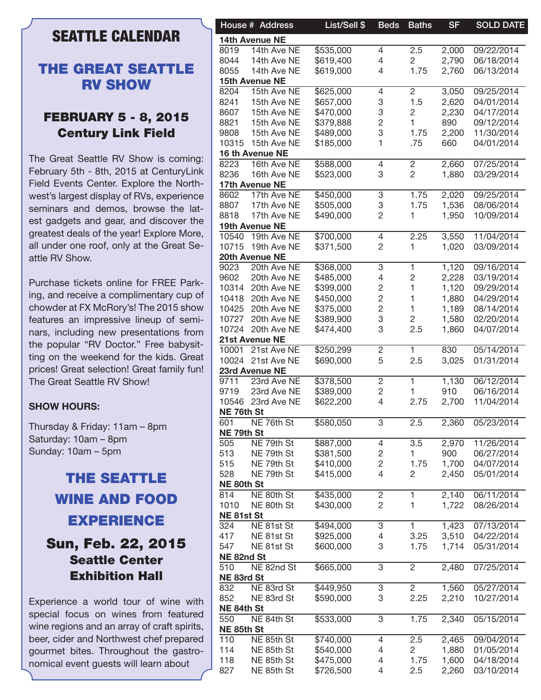## SEATTLE CALENDAR

## THE GREAT SEATTLE RV SHOW

### FEBRUARY 5 - 8, 2015 Century Link Field

The Great Seattle RV Show is coming: February 5th - 8th, 2015 at CenturyLink Field Events Center. Explore the Northwest's largest display of RVs, experience seminars and demos, browse the latest gadgets and gear, and discover the greatest deals of the year! Explore More, all under one roof, only at the Great Seattle RV Show.

Purchase tickets online for FREE Parking, and receive a complimentary cup of chowder at FX McRory's! The 2015 show features an impressive lineup of seminars, including new presentations from the popular "RV Doctor." Free babysitting on the weekend for the kids. Great prices! Great selection! Great family fun! The Great Seattle RV Show!

#### **SHOW HOURS:**

Thursday & Friday: 11am – 8pm Saturday: 10am – 8pm Sunday: 10am – 5pm

## THE SEATTLE WINE AND FOOD EXPERIENCE Sun, Feb. 22, 2015 Seattle Center Exhibition Hall

Experience a world tour of wine with special focus on wines from featured wine regions and an array of craft spirits, beer, cider and Northwest chef prepared gourmet bites. Throughout the gastronomical event guests will learn about

|            | House # Address   | List/Sell \$ | <b>Beds</b>    | <b>Baths</b>   | <b>SF</b> | <b>SOLD DATE</b> |
|------------|-------------------|--------------|----------------|----------------|-----------|------------------|
|            | 14th Avenue NE    |              |                |                |           |                  |
| 8019       | 14th Ave NE       | \$535,000    | 4              | 2.5            | 2,000     | 09/22/2014       |
| 8044       | 14th Ave NE       | \$619,400    | 4              | 2              | 2,790     | 06/18/2014       |
| 8055       | 14th Ave NE       | \$619,000    | 4              | 1.75           | 2,760     | 06/13/2014       |
|            | 15th Avenue NE    |              |                |                |           |                  |
| 8204       | 15th Ave NE       | \$625,000    | 4              | $\overline{c}$ | 3,050     | 09/25/2014       |
| 8241       | 15th Ave NE       | \$657,000    | 3              | 1.5            | 2,620     | 04/01/2014       |
| 8607       | 15th Ave NE       | \$470,000    | 3              | 2              | 2,230     | 04/17/2014       |
| 8821       | 15th Ave NE       | \$379,888    | 2              | $\overline{1}$ | 890       | 09/12/2014       |
| 9808       | 15th Ave NE       | \$489,000    | 3              | 1.75           | 2,200     | 11/30/2014       |
| 10315      | 15th Ave NE       | \$185,000    | 1.             | .75            | 660       | 04/01/2014       |
|            | 16 th Avenue NE   |              |                |                |           |                  |
| 8223       | 16th Ave NE       | \$588,000    |                |                |           | 07/25/2014       |
|            |                   |              | 4              | 2              | 2,660     |                  |
| 8236       | 16th Ave NE       | \$523,000    | 3              | $\overline{c}$ | 1,880     | 03/29/2014       |
|            | 17th Avenue NE    |              |                |                |           |                  |
| 8602       | 17th Ave NE       | \$450,000    | 3              | 1.75           | 2,020     | 09/25/2014       |
| 8807       | 17th Ave NE       | \$505,000    | 3              | 1.75           | 1,536     | 08/06/2014       |
| 8818       | 17th Ave NE       | \$490,000    | 2              | 1              | 1,950     | 10/09/2014       |
|            | 19th Avenue NE    |              |                |                |           |                  |
| 10540      | 19th Ave NE       | \$700,000    | 4              | 2.25           | 3,550     | 11/04/2014       |
|            | 10715 19th Ave NE | \$371,500    | 2              | 1              | 1,020     | 03/09/2014       |
|            | 20th Avenue NE    |              |                |                |           |                  |
| 9023       | 20th Ave NE       | \$368,000    | 3              | 1              | 1,120     | 09/16/2014       |
| 9602       | 20th Ave NE       | \$485,000    | 4              | 2              | 2,228     | 03/19/2014       |
| 10314      | 20th Ave NE       | \$399,000    | $\overline{c}$ |                | 1,120     | 09/29/2014       |
| 10418      | 20th Ave NE       | \$450,000    | $\overline{c}$ |                | 1,880     | 04/29/2014       |
| 10425      | 20th Ave NE       | \$375,000    | 2              |                | 1,189     | 08/14/2014       |
| 10727      | 20th Ave NE       | \$389,900    | 3              | 2              | 1,580     | 02/20/2014       |
| 10724      | 20th Ave NE       | \$474,400    | 3              | 2.5            | 1,860     | 04/07/2014       |
|            | 21st Avenue NE    |              |                |                |           |                  |
| 10001      | 21st Ave NE       | \$250,299    | 2              | 1              | 830       | 05/14/2014       |
| 10024      | 21st Ave NE       | \$690,000    | 5              | 2.5            | 3,025     | 01/31/2014       |
|            | 23rd Avenue NE    |              |                |                |           |                  |
|            |                   |              |                |                |           |                  |
| 9711       | 23rd Ave NE       | \$378,500    | 2              |                | 1,130     | 06/12/2014       |
| 9719       | 23rd Ave NE       | \$389,000    | 2              |                | 910       | 06/16/2014       |
| 10546      | 23rd Ave NE       | \$622,200    | 4              | 2.75           | 2,700     | 11/04/2014       |
| NE 76th St |                   |              |                |                |           |                  |
| 601        | NE 76th St        | \$580,050    | 3              | 2.5            | 2,360     | 05/23/2014       |
| NE 79th St |                   |              |                |                |           |                  |
| 505        | NE 79th St        | \$887,000    | 4              | 3.5            | 2,970     | 11/26/2014       |
| 513        | NE 79th St        | \$381,500    | 2              |                | 900       | 06/27/2014       |
| 515        | NE 79th St        | \$410,000    | 2              | 1.75           | 1,700     | 04/07/2014       |
| 528        | NE 79th St        | \$415,000    | 4              | 2              | 2,450     | 05/01/2014       |
| NE 80th St |                   |              |                |                |           |                  |
| 814        | NE 80th St        | \$435,000    | 2              |                | 2,140     | 06/11/2014       |
| 1010       | NE 80th St        | \$430,000    | $\overline{2}$ | 1              | 1,722     | 08/26/2014       |
| NE81st St  |                   |              |                |                |           |                  |
| 324        | NE 81st St        | \$494,000    | 3              |                | 1,423     | 07/13/2014       |
| 417        | NE 81st St        | \$925,000    | 4              | 3.25           | 3,510     | 04/22/2014       |
| 547        | NE 81st St        | \$600,000    | 3              | 1.75           | 1,714     | 05/31/2014       |
| NE 82nd St |                   |              |                |                |           |                  |
| 510        | NE 82nd St        | \$665,000    | 3              | $\overline{2}$ | 2,480     | 07/25/2014       |
| NE 83rd St |                   |              |                |                |           |                  |
| 832        | NE 83rd St        | \$449,950    | 3              | $\overline{2}$ | 1,560     | 05/27/2014       |
| 852        | NE 83rd St        | \$590,000    | 3              | 2.25           | 2,210     | 10/27/2014       |
|            |                   |              |                |                |           |                  |
| NE 84th St |                   |              |                |                |           |                  |
| 550        | NE 84th St        | \$533,000    | 3              | 1.75           | 2,340     | 05/15/2014       |
| NE 85th St |                   |              |                |                |           |                  |
| 110        | NE 85th St        | \$740,000    | 4              | 2.5            | 2,465     | 09/04/2014       |
| 114        | NE 85th St        | \$540,000    | 4              | $\overline{2}$ | 1,880     | 01/05/2014       |
| 118        | NE 85th St        | \$475,000    | 4              | 1.75           | 1,600     | 04/18/2014       |
| 827        | NE 85th St        | \$726,500    | 4              | 2.5            | 2,260     | 03/10/2014       |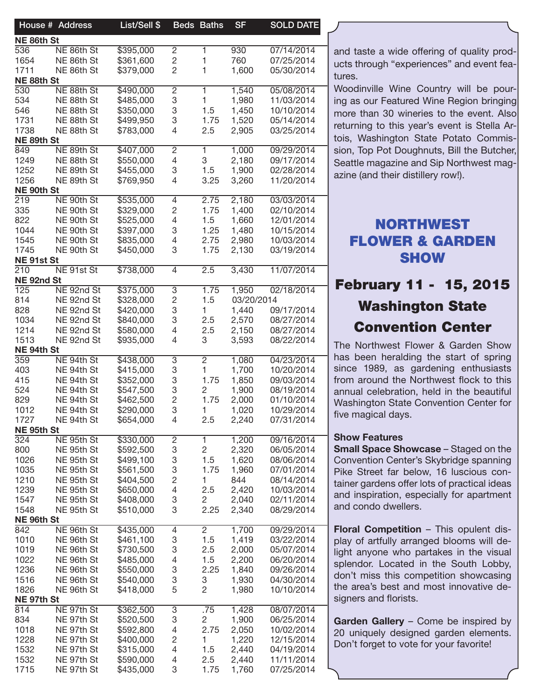|                   | House # Address | List/Sell \$ |                | Beds Baths     | <b>SF</b>  | <b>SOLD DATE</b> |
|-------------------|-----------------|--------------|----------------|----------------|------------|------------------|
| NE 86th St        |                 |              |                |                |            |                  |
| 536               | NE 86th St      | \$395,000    | $\overline{c}$ | 1              | 930        | 07/14/2014       |
| 1654              | NE 86th St      | \$361,600    | $\overline{c}$ | 1              | 760        | 07/25/2014       |
| 1711              | NE 86th St      | \$379,000    | 2              | 1              | 1,600      | 05/30/2014       |
| NE 88th St        |                 |              |                |                |            |                  |
| 530               | NE 88th St      | \$490,000    | 2              | 1.             | 1,540      | 05/08/2014       |
| 534               | NE 88th St      | \$485,000    | 3              | 1              | 1,980      | 11/03/2014       |
| 546               | NE 88th St      | \$350,000    | 3              | 1.5            | 1,450      | 10/10/2014       |
| 1731              | NE 88th St      | \$499,950    | 3              | 1.75           | 1,520      | 05/14/2014       |
| 1738              | NE 88th St      | \$783,000    | 4              | 2.5            | 2,905      | 03/25/2014       |
| NE 89th St        |                 |              |                |                |            |                  |
| 849               | NE 89th St      | \$407,000    | 2              | 1.             | 1,000      | 09/29/2014       |
| 1249              | NE 88th St      | \$550,000    | 4              | 3              | 2,180      | 09/17/2014       |
| 1252              | NE 89th St      | \$455,000    | 3              | 1.5            | 1,900      | 02/28/2014       |
| 1256              | NE 89th St      | \$769,950    | 4              | 3.25           | 3,260      | 11/20/2014       |
| NE 90th St        |                 |              |                |                |            |                  |
| 219               | NE 90th St      | \$535,000    | 4              | 2.75           | 2,180      | 03/03/2014       |
| 335               | NE 90th St      | \$329,000    | $\overline{c}$ | 1.75           | 1,400      | 02/10/2014       |
| 822               | NE 90th St      | \$525,000    | 4              | 1.5            | 1,660      | 12/01/2014       |
| 1044              | NE 90th St      | \$397,000    | 3              | 1.25           | 1,480      | 10/15/2014       |
| 1545              | NE 90th St      | \$835,000    | 4              | 2.75           | 2,980      | 10/03/2014       |
| 1745              | NE 90th St      | \$450,000    | 3              | 1.75           | 2,130      | 03/19/2014       |
| NE 91st St        |                 |              |                |                |            |                  |
| 210               | NE 91st St      | \$738,000    | $\overline{4}$ | 2.5            | 3,430      | 11/07/2014       |
| NE 92nd St        |                 |              |                |                |            |                  |
| 125               | NE 92nd St      | \$375,000    | 3              | 1.75           | 1,950      | 02/18/2014       |
| 814               | NE 92nd St      | \$328,000    | $\overline{c}$ | 1.5            | 03/20/2014 |                  |
| 828               | NE 92nd St      | \$420,000    | 3              | 1.             | 1,440      | 09/17/2014       |
| 1034              | NE 92nd St      | \$840,000    | 3              | 2.5            | 2,570      | 08/27/2014       |
| 1214              | NE 92nd St      | \$580,000    | 4              | 2.5            | 2,150      | 08/27/2014       |
| 1513              |                 |              | 4              | 3              |            |                  |
|                   | NE 92nd St      | \$935,000    |                |                | 3,593      | 08/22/2014       |
| NE 94th St<br>359 |                 |              |                |                |            | 04/23/2014       |
|                   | NE 94th St      | \$438,000    | 3              | $\overline{2}$ | 1,080      |                  |
| 403               | NE 94th St      | \$415,000    | 3              | 1.             | 1,700      | 10/20/2014       |
| 415               | NE 94th St      | \$352,000    | 3              | 1.75           | 1,850      | 09/03/2014       |
| 524               | NE 94th St      | \$547,500    | 3              | 2              | 1,900      | 08/19/2014       |
| 829               | NE 94th St      | \$462,500    | 2              | 1.75           | 2,000      | 01/10/2014       |
| 1012              | NE 94th St      | \$290,000    | 3              | 1.             | 1,020      | 10/29/2014       |
| 1727              | NE 94th St      | \$654,000    | 4              | 2.5            | 2,240      | 07/31/2014       |
| NE 95th St        |                 |              |                |                |            |                  |
| 324               | NE 95th St      | \$330,000    | $\overline{c}$ | 1              | 1,200      | 09/16/2014       |
| 800               | NE 95th St      | \$592,500    | 3              | $\overline{c}$ | 2,320      | 06/05/2014       |
| 1026              | NE 95th St      | \$499,100    | 3              | 1.5            | 1,620      | 08/06/2014       |
| 1035              | NE 95th St      | \$561,500    | 3              | 1.75           | 1,960      | 07/01/2014       |
| 1210              | NE 95th St      | \$404,500    | 2              | 1.             | 844        | 08/14/2014       |
| 1239              | NE 95th St      | \$650,000    | 4              | 2.5            | 2,420      | 10/03/2014       |
| 1547              | NE 95th St      | \$408,000    | 3              | 2.             | 2,040      | 02/11/2014       |
| 1548              | NE 95th St      | \$510,000    | 3              | 2.25           | 2,340      | 08/29/2014       |
| NE 96th St        |                 |              |                |                |            |                  |
| 842               | NE 96th St      | \$435,000    | 4              | $\overline{2}$ | 1,700      | 09/29/2014       |
| 1010              | NE 96th St      | \$461,100    | 3              | 1.5            | 1,419      | 03/22/2014       |
| 1019              | NE 96th St      | \$730,500    | 3              | 2.5            | 2,000      | 05/07/2014       |
| 1022              | NE 96th St      | \$485,000    | 4              | 1.5            | 2,200      | 06/20/2014       |
| 1236              | NE 96th St      | \$550,000    | 3              | 2.25           | 1,840      | 09/26/2014       |
| 1516              | NE 96th St      | \$540,000    | 3              | 3              | 1,930      | 04/30/2014       |
| 1826              | NE 96th St      | \$418,000    | 5              | 2              | 1,980      | 10/10/2014       |
| NE 97th St        |                 |              |                |                |            |                  |
| 814               | NE 97th St      | \$362,500    | 3              | .75            | 1,428      | 08/07/2014       |
| 834               | NE 97th St      | \$520,500    | 3              | $\overline{2}$ | 1,900      | 06/25/2014       |
| 1018              | NE 97th St      | \$592,800    | 4              | 2.75           | 2,050      | 10/02/2014       |
| 1228              | NE 97th St      | \$400,000    | $\overline{c}$ | 1.             | 1,220      | 12/15/2014       |
| 1532              | NE 97th St      | \$315,000    | 4              | 1.5            | 2,440      | 04/19/2014       |
| 1532              | NE 97th St      | \$590,000    | 4              | 2.5            | 2,440      | 11/11/2014       |
| 1715              | NE 97th St      | \$435,000    | 3              | 1.75           | 1,760      | 07/25/2014       |
|                   |                 |              |                |                |            |                  |

and taste a wide offering of quality products through "experiences" and event features.

Woodinville Wine Country will be pouring as our Featured Wine Region bringing more than 30 wineries to the event. Also returning to this year's event is Stella Artois, Washington State Potato Commission, Top Pot Doughnuts, Bill the Butcher, Seattle magazine and Sip Northwest magazine (and their distillery row!).

## NORTHWEST FLOWER & GARDEN **SHOW**

## February 11 - 15, 2015 Washington State Convention Center

The Northwest Flower & Garden Show has been heralding the start of spring since 1989, as gardening enthusiasts from around the Northwest flock to this annual celebration, held in the beautiful Washington State Convention Center for five magical days.

#### Show Features

Small Space Showcase – Staged on the Convention Center's Skybridge spanning Pike Street far below, 16 luscious container gardens offer lots of practical ideas and inspiration, especially for apartment and condo dwellers.

Floral Competition – This opulent display of artfully arranged blooms will delight anyone who partakes in the visual splendor. Located in the South Lobby, don't miss this competition showcasing the area's best and most innovative designers and florists.

Garden Gallery - Come be inspired by 20 uniquely designed garden elements. Don't forget to vote for your favorite!